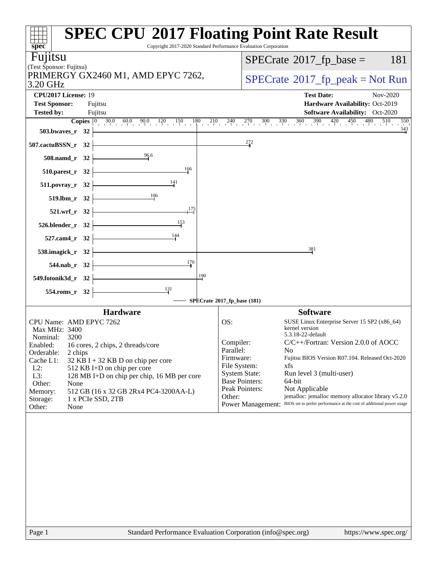| spec®                                                                             | <b>SPEC CPU®2017 Floating Point Rate Result</b><br>Copyright 2017-2020 Standard Performance Evaluation Corporation                                                          |
|-----------------------------------------------------------------------------------|-----------------------------------------------------------------------------------------------------------------------------------------------------------------------------|
| Fujitsu                                                                           | $SPECTate$ <sup>®</sup> 2017_fp_base =<br>181                                                                                                                               |
| (Test Sponsor: Fujitsu)                                                           |                                                                                                                                                                             |
| PRIMERGY GX2460 M1, AMD EPYC 7262,<br>3.20 GHz                                    | $SPECrate^{\circ}2017rfp peak = Not Run$                                                                                                                                    |
| CPU2017 License: 19                                                               | <b>Test Date:</b><br>Nov-2020                                                                                                                                               |
| <b>Test Sponsor:</b><br>Fujitsu                                                   | Hardware Availability: Oct-2019                                                                                                                                             |
| <b>Tested by:</b><br>Fujitsu                                                      | Software Availability: Oct-2020<br>550                                                                                                                                      |
| $503.bwaves_r$ 32                                                                 | <b>Copies</b> $\begin{bmatrix} 0 & 30.0 & 60.0 & 90.0 & 120 & 150 & 180 & 210 & 240 & 270 & 300 & 330 & 360 & 390 & 420 & 450 & 510 & 550 \end{bmatrix}$<br>$\frac{543}{5}$ |
| $507$ .cactuBSSN_r 32                                                             | $\frac{272}{4}$                                                                                                                                                             |
| 508.namd_r 32 $\frac{96.6}{96}$                                                   |                                                                                                                                                                             |
| $\frac{166}{1}$<br>$510.parest_r$ 32                                              |                                                                                                                                                                             |
| 511.povray_r 32 $\left\vert$                                                      |                                                                                                                                                                             |
| 519.lbm_r 32 $\frac{106}{100}$                                                    |                                                                                                                                                                             |
| $\overline{175}$<br>$521.wrf_r$ 32                                                |                                                                                                                                                                             |
| 526.blender_r $32 \downarrow 33$                                                  |                                                                                                                                                                             |
| 527.cam4_r 32 $\frac{144}{1}$                                                     |                                                                                                                                                                             |
| 538.imagick_r 32 $\begin{array}{ c c c }\n\hline\n\text{---}\n\end{array}$        | 381                                                                                                                                                                         |
| $544.nab_r$ $32$<br>$\frac{170}{4}$                                               |                                                                                                                                                                             |
| $549.$ fotonik $3d$ <sub>_r</sub> $32$ $\overline{\phantom{a}}$<br>190            |                                                                                                                                                                             |
| $\overline{\phantom{1}131}$<br>$554$ .roms_r 32 $\vert$                           | SPECrate®2017_fp_base (181)                                                                                                                                                 |
| <b>Hardware</b>                                                                   | <b>Software</b>                                                                                                                                                             |
| CPU Name: AMD EPYC 7262                                                           | OS:<br>SUSE Linux Enterprise Server 15 SP2 (x86_64)                                                                                                                         |
| Max MHz: 3400<br>Nominal: 3200                                                    | kernel version<br>5.3.18-22-default                                                                                                                                         |
| Enabled: 16 cores, 2 chips, 2 threads/core                                        | Compiler:<br>C/C++/Fortran: Version 2.0.0 of AOCC                                                                                                                           |
| Orderable:<br>2 chips                                                             | Parallel:<br>No<br>Fujitsu BIOS Version R07.104. Released Oct-2020<br>Firmware:                                                                                             |
| Cache L1:<br>$32$ KB I + 32 KB D on chip per core<br>$L2$ :                       | File System:<br>xfs                                                                                                                                                         |
| 512 KB I+D on chip per core<br>L3:<br>128 MB I+D on chip per chip, 16 MB per core | <b>System State:</b><br>Run level 3 (multi-user)                                                                                                                            |
| Other:<br>None                                                                    | <b>Base Pointers:</b><br>64-bit                                                                                                                                             |
| 512 GB (16 x 32 GB 2Rx4 PC4-3200AA-L)<br>Memory:                                  | Peak Pointers:<br>Not Applicable                                                                                                                                            |
| Storage:<br>1 x PCIe SSD, 2TB<br>Other:<br>None                                   | Other:<br>jemalloc: jemalloc memory allocator library v5.2.0<br>BIOS set to prefer performance at the cost of additional power usage<br><b>Power Management:</b>            |
|                                                                                   |                                                                                                                                                                             |
| Page 1                                                                            | Standard Performance Evaluation Corporation (info@spec.org)<br>https://www.spec.org/                                                                                        |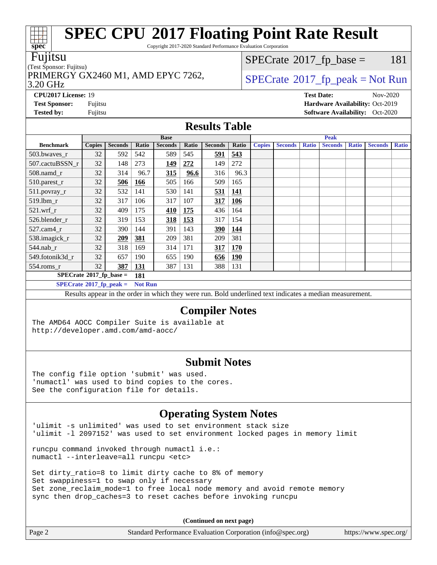Copyright 2017-2020 Standard Performance Evaluation Corporation

#### Fujitsu

#### (Test Sponsor: Fujitsu)

3.20 GHz PRIMERGY GX2460 M1, AMD EPYC 7262,  $\vert$  [SPECrate](http://www.spec.org/auto/cpu2017/Docs/result-fields.html#SPECrate2017fppeak)®[2017\\_fp\\_peak = N](http://www.spec.org/auto/cpu2017/Docs/result-fields.html#SPECrate2017fppeak)ot Run

 $SPECTate@2017<sub>fr</sub> base = 181$ 

**[CPU2017 License:](http://www.spec.org/auto/cpu2017/Docs/result-fields.html#CPU2017License)** 19 **[Test Date:](http://www.spec.org/auto/cpu2017/Docs/result-fields.html#TestDate)** Nov-2020 **[Test Sponsor:](http://www.spec.org/auto/cpu2017/Docs/result-fields.html#TestSponsor)** Fujitsu **[Hardware Availability:](http://www.spec.org/auto/cpu2017/Docs/result-fields.html#HardwareAvailability)** Oct-2019 **[Tested by:](http://www.spec.org/auto/cpu2017/Docs/result-fields.html#Testedby)** Fujitsu **Fugital Exception Contract Contract Contract Contract Contract Contract Contract Contract Contract Contract Contract Contract Contract Contract Contract Contract Contract Contract Contract Contract Co** 

### **[Results Table](http://www.spec.org/auto/cpu2017/Docs/result-fields.html#ResultsTable)**

|                                        | <b>Base</b>   |                |                |                |       | <b>Peak</b>    |            |               |                |              |                |              |                |              |
|----------------------------------------|---------------|----------------|----------------|----------------|-------|----------------|------------|---------------|----------------|--------------|----------------|--------------|----------------|--------------|
| <b>Benchmark</b>                       | <b>Copies</b> | <b>Seconds</b> | Ratio          | <b>Seconds</b> | Ratio | <b>Seconds</b> | Ratio      | <b>Copies</b> | <b>Seconds</b> | <b>Ratio</b> | <b>Seconds</b> | <b>Ratio</b> | <b>Seconds</b> | <b>Ratio</b> |
| 503.bwaves_r                           | 32            | 592            | 542            | 589            | 545   | 591            | 543        |               |                |              |                |              |                |              |
| 507.cactuBSSN r                        | 32            | 148            | 273            | <u>149</u>     | 272   | 149            | 272        |               |                |              |                |              |                |              |
| $508$ .namd $r$                        | 32            | 314            | 96.7           | 315            | 96.6  | 316            | 96.3       |               |                |              |                |              |                |              |
| 510.parest_r                           | 32            | 506            | 166            | 505            | 166   | 509            | 165        |               |                |              |                |              |                |              |
| 511.povray_r                           | 32            | 532            | 141            | 530            | 141   | 531            | <u>141</u> |               |                |              |                |              |                |              |
| 519.lbm r                              | 32            | 317            | 106            | 317            | 107   | 317            | <b>106</b> |               |                |              |                |              |                |              |
| $521$ .wrf r                           | 32            | 409            | 175            | 410            | 175   | 436            | 164        |               |                |              |                |              |                |              |
| 526.blender r                          | 32            | 319            | 153            | 318            | 153   | 317            | 154        |               |                |              |                |              |                |              |
| 527.cam4 r                             | 32            | 390            | 144            | 391            | 143   | 390            | 144        |               |                |              |                |              |                |              |
| 538.imagick_r                          | 32            | 209            | 381            | 209            | 381   | 209            | 381        |               |                |              |                |              |                |              |
| $544$ .nab_r                           | 32            | 318            | 169            | 314            | 171   | 317            | 170        |               |                |              |                |              |                |              |
| 549.fotonik3d r                        | 32            | 657            | 190            | 655            | 190   | 656            | <b>190</b> |               |                |              |                |              |                |              |
| $554$ .roms_r                          | 32            | 387            | <b>131</b>     | 387            | 131   | 388            | 131        |               |                |              |                |              |                |              |
| $SPECrate$ <sup>®</sup> 2017_fp_base = |               |                | 181            |                |       |                |            |               |                |              |                |              |                |              |
| $SPECrate^{\circ}2017$ fp peak =       |               |                | <b>Not Run</b> |                |       |                |            |               |                |              |                |              |                |              |

Results appear in the [order in which they were run.](http://www.spec.org/auto/cpu2017/Docs/result-fields.html#RunOrder) Bold underlined text [indicates a median measurement.](http://www.spec.org/auto/cpu2017/Docs/result-fields.html#Median)

### **[Compiler Notes](http://www.spec.org/auto/cpu2017/Docs/result-fields.html#CompilerNotes)**

The AMD64 AOCC Compiler Suite is available at <http://developer.amd.com/amd-aocc/>

#### **[Submit Notes](http://www.spec.org/auto/cpu2017/Docs/result-fields.html#SubmitNotes)**

The config file option 'submit' was used. 'numactl' was used to bind copies to the cores. See the configuration file for details.

### **[Operating System Notes](http://www.spec.org/auto/cpu2017/Docs/result-fields.html#OperatingSystemNotes)**

'ulimit -s unlimited' was used to set environment stack size 'ulimit -l 2097152' was used to set environment locked pages in memory limit

runcpu command invoked through numactl i.e.: numactl --interleave=all runcpu <etc>

Set dirty\_ratio=8 to limit dirty cache to 8% of memory Set swappiness=1 to swap only if necessary Set zone\_reclaim\_mode=1 to free local node memory and avoid remote memory sync then drop\_caches=3 to reset caches before invoking runcpu

**(Continued on next page)**

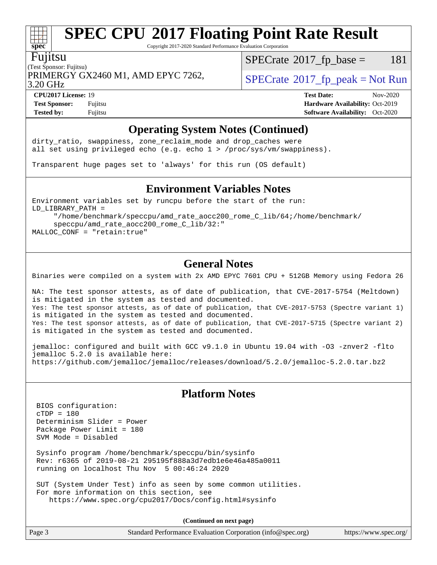Copyright 2017-2020 Standard Performance Evaluation Corporation

#### Fujitsu

PRIMERGY GX2460 M1, AMD EPYC 7262,  $\vert$  [SPECrate](http://www.spec.org/auto/cpu2017/Docs/result-fields.html#SPECrate2017fppeak) 2017 fp\_peak = Not Run

 $SPECTate@2017<sub>fr</sub> base = 181$ 

3.20 GHz

**[Test Sponsor:](http://www.spec.org/auto/cpu2017/Docs/result-fields.html#TestSponsor)** Fujitsu **[Hardware Availability:](http://www.spec.org/auto/cpu2017/Docs/result-fields.html#HardwareAvailability)** Oct-2019 **[Tested by:](http://www.spec.org/auto/cpu2017/Docs/result-fields.html#Testedby)** Fujitsu **[Software Availability:](http://www.spec.org/auto/cpu2017/Docs/result-fields.html#SoftwareAvailability)** Oct-2020

**[CPU2017 License:](http://www.spec.org/auto/cpu2017/Docs/result-fields.html#CPU2017License)** 19 **[Test Date:](http://www.spec.org/auto/cpu2017/Docs/result-fields.html#TestDate)** Nov-2020

### **[Operating System Notes \(Continued\)](http://www.spec.org/auto/cpu2017/Docs/result-fields.html#OperatingSystemNotes)**

dirty\_ratio, swappiness, zone\_reclaim\_mode and drop caches were all set using privileged echo (e.g. echo 1 > /proc/sys/vm/swappiness).

Transparent huge pages set to 'always' for this run (OS default)

#### **[Environment Variables Notes](http://www.spec.org/auto/cpu2017/Docs/result-fields.html#EnvironmentVariablesNotes)**

Environment variables set by runcpu before the start of the run: LD\_LIBRARY\_PATH = "/home/benchmark/speccpu/amd\_rate\_aocc200\_rome\_C\_lib/64;/home/benchmark/

 speccpu/amd\_rate\_aocc200\_rome\_C\_lib/32:" MALLOC\_CONF = "retain:true"

### **[General Notes](http://www.spec.org/auto/cpu2017/Docs/result-fields.html#GeneralNotes)**

Binaries were compiled on a system with 2x AMD EPYC 7601 CPU + 512GB Memory using Fedora 26

NA: The test sponsor attests, as of date of publication, that CVE-2017-5754 (Meltdown) is mitigated in the system as tested and documented. Yes: The test sponsor attests, as of date of publication, that CVE-2017-5753 (Spectre variant 1) is mitigated in the system as tested and documented. Yes: The test sponsor attests, as of date of publication, that CVE-2017-5715 (Spectre variant 2) is mitigated in the system as tested and documented.

jemalloc: configured and built with GCC v9.1.0 in Ubuntu 19.04 with -O3 -znver2 -flto jemalloc 5.2.0 is available here: <https://github.com/jemalloc/jemalloc/releases/download/5.2.0/jemalloc-5.2.0.tar.bz2>

### **[Platform Notes](http://www.spec.org/auto/cpu2017/Docs/result-fields.html#PlatformNotes)**

 BIOS configuration: cTDP = 180 Determinism Slider = Power Package Power Limit = 180 SVM Mode = Disabled

 Sysinfo program /home/benchmark/speccpu/bin/sysinfo Rev: r6365 of 2019-08-21 295195f888a3d7edb1e6e46a485a0011 running on localhost Thu Nov 5 00:46:24 2020

 SUT (System Under Test) info as seen by some common utilities. For more information on this section, see <https://www.spec.org/cpu2017/Docs/config.html#sysinfo>

**(Continued on next page)**

| Page 3 | Standard Performance Evaluation Corporation (info@spec.org) | https://www.spec.org/ |
|--------|-------------------------------------------------------------|-----------------------|
|--------|-------------------------------------------------------------|-----------------------|



### (Test Sponsor: Fujitsu)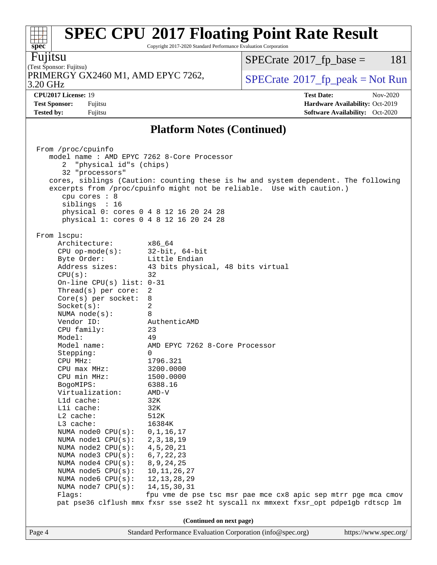Copyright 2017-2020 Standard Performance Evaluation Corporation

Fujitsu

(Test Sponsor: Fujitsu) 3.20 GHz PRIMERGY GX2460 M1, AMD EPYC 7262,  $\vert$  [SPECrate](http://www.spec.org/auto/cpu2017/Docs/result-fields.html#SPECrate2017fppeak) [2017\\_fp\\_peak = N](http://www.spec.org/auto/cpu2017/Docs/result-fields.html#SPECrate2017fppeak)ot Run

 $SPECrate@2017_fp\_base = 181$  $SPECrate@2017_fp\_base = 181$ 

**[Test Sponsor:](http://www.spec.org/auto/cpu2017/Docs/result-fields.html#TestSponsor)** Fujitsu **[Hardware Availability:](http://www.spec.org/auto/cpu2017/Docs/result-fields.html#HardwareAvailability)** Oct-2019 **[Tested by:](http://www.spec.org/auto/cpu2017/Docs/result-fields.html#Testedby)** Fujitsu **[Software Availability:](http://www.spec.org/auto/cpu2017/Docs/result-fields.html#SoftwareAvailability)** Oct-2020

**[CPU2017 License:](http://www.spec.org/auto/cpu2017/Docs/result-fields.html#CPU2017License)** 19 **[Test Date:](http://www.spec.org/auto/cpu2017/Docs/result-fields.html#TestDate)** Nov-2020

**[Platform Notes \(Continued\)](http://www.spec.org/auto/cpu2017/Docs/result-fields.html#PlatformNotes)**

| From 1scpu:<br>Architecture:<br>x86 64<br>CPU op-mode $(s)$ : 32-bit, 64-bit<br>Little Endian<br>Byte Order:<br>Address sizes:<br>43 bits physical, 48 bits virtual<br>CPU(s):<br>32<br>On-line CPU(s) list: $0-31$<br>Thread(s) per core:<br>2<br>$Core(s)$ per socket:<br>8<br>2<br>Socket(s):<br>8<br>NUMA node(s):<br>Vendor ID:<br>AuthenticAMD<br>CPU family:<br>23<br>Model:<br>49<br>Model name:<br>AMD EPYC 7262 8-Core Processor<br>Stepping:<br>$\Omega$<br>CPU MHz:<br>1796.321<br>$CPU$ $max$ $MHz$ :<br>3200.0000<br>CPU min MHz:<br>1500.0000<br>BogoMIPS:<br>6388.16<br>Virtualization:<br>AMD-V<br>L1d cache:<br>32K<br>Lli cache:<br>32K<br>$L2$ cache:<br>512K<br>L3 cache:<br>16384K<br>NUMA node0 CPU(s): 0,1,16,17<br>NUMA node1 CPU(s): 2,3,18,19<br>NUMA node2 CPU(s):<br>4,5,20,21<br>NUMA $node3$ CPU $(s)$ :<br>6, 7, 22, 23<br>NUMA node4 CPU(s): 8,9,24,25<br>10, 11, 26, 27<br>NUMA $node5$ $CPU(s):$<br>NUMA node6 CPU(s):<br>12, 13, 28, 29<br>NUMA node7 CPU(s):<br>14, 15, 30, 31<br>fpu vme de pse tsc msr pae mce cx8 apic sep mtrr pge mca cmov<br>Flags:<br>pat pse36 clflush mmx fxsr sse sse2 ht syscall nx mmxext fxsr_opt pdpe1gb rdtscp lm<br>(Continued on next page)<br>Page 4<br>Standard Performance Evaluation Corporation (info@spec.org)<br>https://www.spec.org/ | From /proc/cpuinfo<br>model name: AMD EPYC 7262 8-Core Processor<br>"physical id"s (chips)<br>32 "processors"<br>cores, siblings (Caution: counting these is hw and system dependent. The following<br>excerpts from /proc/cpuinfo might not be reliable. Use with caution.)<br>cpu cores : 8<br>siblings : 16<br>physical 0: cores 0 4 8 12 16 20 24 28<br>physical 1: cores 0 4 8 12 16 20 24 28 |  |  |  |  |
|---------------------------------------------------------------------------------------------------------------------------------------------------------------------------------------------------------------------------------------------------------------------------------------------------------------------------------------------------------------------------------------------------------------------------------------------------------------------------------------------------------------------------------------------------------------------------------------------------------------------------------------------------------------------------------------------------------------------------------------------------------------------------------------------------------------------------------------------------------------------------------------------------------------------------------------------------------------------------------------------------------------------------------------------------------------------------------------------------------------------------------------------------------------------------------------------------------------------------------------------------------------------------------------------------------------------|----------------------------------------------------------------------------------------------------------------------------------------------------------------------------------------------------------------------------------------------------------------------------------------------------------------------------------------------------------------------------------------------------|--|--|--|--|
|                                                                                                                                                                                                                                                                                                                                                                                                                                                                                                                                                                                                                                                                                                                                                                                                                                                                                                                                                                                                                                                                                                                                                                                                                                                                                                                     |                                                                                                                                                                                                                                                                                                                                                                                                    |  |  |  |  |
|                                                                                                                                                                                                                                                                                                                                                                                                                                                                                                                                                                                                                                                                                                                                                                                                                                                                                                                                                                                                                                                                                                                                                                                                                                                                                                                     |                                                                                                                                                                                                                                                                                                                                                                                                    |  |  |  |  |
|                                                                                                                                                                                                                                                                                                                                                                                                                                                                                                                                                                                                                                                                                                                                                                                                                                                                                                                                                                                                                                                                                                                                                                                                                                                                                                                     |                                                                                                                                                                                                                                                                                                                                                                                                    |  |  |  |  |

**[spec](http://www.spec.org/)**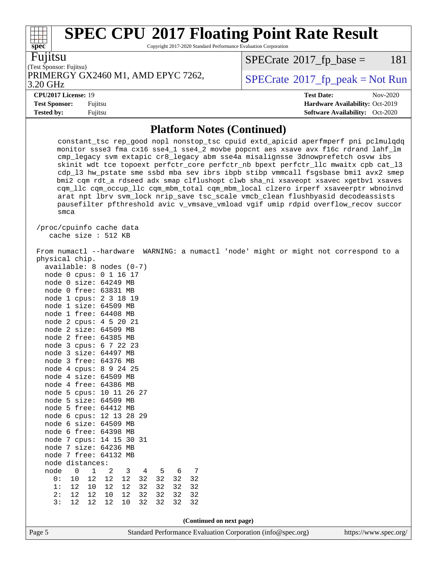Copyright 2017-2020 Standard Performance Evaluation Corporation

|  | V<br>. . |
|--|----------|
|  |          |

**[spec](http://www.spec.org/)**

(Test Sponsor: Fujitsu) PRIMERGY GX2460 M1, AMD EPYC 7262,  $\vert$  [SPECrate](http://www.spec.org/auto/cpu2017/Docs/result-fields.html#SPECrate2017fppeak) [2017\\_fp\\_peak = N](http://www.spec.org/auto/cpu2017/Docs/result-fields.html#SPECrate2017fppeak)ot Run

 $SPECTate@2017_fp\_base = 181$ 

#### 3.20 GHz

**[Test Sponsor:](http://www.spec.org/auto/cpu2017/Docs/result-fields.html#TestSponsor)** Fujitsu **[Hardware Availability:](http://www.spec.org/auto/cpu2017/Docs/result-fields.html#HardwareAvailability)** Oct-2019

**[Tested by:](http://www.spec.org/auto/cpu2017/Docs/result-fields.html#Testedby)** Fujitsu **[Software Availability:](http://www.spec.org/auto/cpu2017/Docs/result-fields.html#SoftwareAvailability)** Oct-2020

**[CPU2017 License:](http://www.spec.org/auto/cpu2017/Docs/result-fields.html#CPU2017License)** 19 **[Test Date:](http://www.spec.org/auto/cpu2017/Docs/result-fields.html#TestDate)** Nov-2020

**[Platform Notes \(Continued\)](http://www.spec.org/auto/cpu2017/Docs/result-fields.html#PlatformNotes)**

| constant_tsc rep_good nopl nonstop_tsc cpuid extd_apicid aperfmperf pni pclmulqdq<br>monitor ssse3 fma cx16 sse4_1 sse4_2 movbe popcnt aes xsave avx f16c rdrand lahf_lm<br>cmp_legacy svm extapic cr8_legacy abm sse4a misalignsse 3dnowprefetch osvw ibs<br>skinit wdt tce topoext perfctr_core perfctr_nb bpext perfctr_llc mwaitx cpb cat_13<br>cdp_13 hw_pstate sme ssbd mba sev ibrs ibpb stibp vmmcall fsgsbase bmil avx2 smep<br>bmi2 cqm rdt_a rdseed adx smap clflushopt clwb sha_ni xsaveopt xsavec xgetbvl xsaves<br>cqm_llc cqm_occup_llc cqm_mbm_total cqm_mbm_local clzero irperf xsaveerptr wbnoinvd<br>arat npt lbrv svm_lock nrip_save tsc_scale vmcb_clean flushbyasid decodeassists<br>pausefilter pfthreshold avic v_vmsave_vmload vgif umip rdpid overflow_recov succor<br>smca                                                                                                                                                                                                                                                                                                                                  |  |  |  |  |  |  |
|----------------------------------------------------------------------------------------------------------------------------------------------------------------------------------------------------------------------------------------------------------------------------------------------------------------------------------------------------------------------------------------------------------------------------------------------------------------------------------------------------------------------------------------------------------------------------------------------------------------------------------------------------------------------------------------------------------------------------------------------------------------------------------------------------------------------------------------------------------------------------------------------------------------------------------------------------------------------------------------------------------------------------------------------------------------------------------------------------------------------------------------|--|--|--|--|--|--|
| /proc/cpuinfo cache data<br>cache size : 512 KB                                                                                                                                                                                                                                                                                                                                                                                                                                                                                                                                                                                                                                                                                                                                                                                                                                                                                                                                                                                                                                                                                        |  |  |  |  |  |  |
| From numactl --hardware WARNING: a numactl 'node' might or might not correspond to a<br>physical chip.<br>available: 8 nodes (0-7)<br>node 0 cpus: 0 1 16 17<br>node 0 size: 64249 MB<br>node 0 free: 63831 MB<br>node 1 cpus: 2 3 18 19<br>node 1 size: 64509 MB<br>node 1 free: 64408 MB<br>node 2 cpus: 4 5 20 21<br>node 2 size: 64509 MB<br>node 2 free: 64385 MB<br>node 3 cpus: 6 7 22 23<br>node 3 size: 64497 MB<br>node 3 free: 64376 MB<br>node 4 cpus: 8 9 24 25<br>node 4 size: 64509 MB<br>node 4 free: 64386 MB<br>node 5 cpus: 10 11 26 27<br>node 5 size: 64509 MB<br>node 5 free: 64412 MB<br>node 6 cpus: 12 13 28 29<br>node 6 size: 64509 MB<br>node 6 free: 64398 MB<br>node 7 cpus: 14 15 30 31<br>node 7 size: 64236 MB<br>node 7 free: 64132 MB<br>node distances:<br>node<br>$1\,$<br>$\mathbf 0$<br>$\overline{\mathbf{3}}$<br>$7\phantom{.0}$<br>2<br>$\overline{4}$<br>$-5$<br>6<br>32<br>0:<br>$10$<br>12<br>12<br>12<br>32 32<br>32<br>32<br>32<br>32<br>1:<br>12<br>10<br>12<br>12<br>32<br>12<br>32<br>32<br>32<br>2:<br>12<br>10<br>12<br>32<br>12<br>3:<br>12<br>12<br>$10$<br>32<br>32<br>32<br>32 |  |  |  |  |  |  |
|                                                                                                                                                                                                                                                                                                                                                                                                                                                                                                                                                                                                                                                                                                                                                                                                                                                                                                                                                                                                                                                                                                                                        |  |  |  |  |  |  |
| (Continued on next page)                                                                                                                                                                                                                                                                                                                                                                                                                                                                                                                                                                                                                                                                                                                                                                                                                                                                                                                                                                                                                                                                                                               |  |  |  |  |  |  |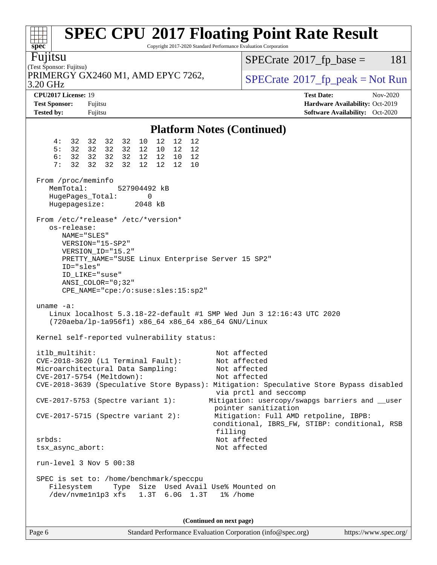| spec <sup>®</sup>                                                                                                                                     |                                                                                                                                                                                             | <b>SPEC CPU®2017 Floating Point Rate Result</b><br>Copyright 2017-2020 Standard Performance Evaluation Corporation                                                               |  |  |  |
|-------------------------------------------------------------------------------------------------------------------------------------------------------|---------------------------------------------------------------------------------------------------------------------------------------------------------------------------------------------|----------------------------------------------------------------------------------------------------------------------------------------------------------------------------------|--|--|--|
| Fujitsu<br>(Test Sponsor: Fujitsu)                                                                                                                    |                                                                                                                                                                                             | $SPECTate$ <sup>®</sup> 2017_fp_base =<br>181                                                                                                                                    |  |  |  |
| 3.20 GHz                                                                                                                                              | PRIMERGY GX2460 M1, AMD EPYC 7262,                                                                                                                                                          | $SPECrate^{\circ}2017rfp peak = Not Run$                                                                                                                                         |  |  |  |
| CPU2017 License: 19<br><b>Test Sponsor:</b><br><b>Tested by:</b>                                                                                      | Fujitsu<br>Fujitsu                                                                                                                                                                          | <b>Test Date:</b><br>Nov-2020<br>Hardware Availability: Oct-2019<br><b>Software Availability:</b> Oct-2020                                                                       |  |  |  |
|                                                                                                                                                       |                                                                                                                                                                                             | <b>Platform Notes (Continued)</b>                                                                                                                                                |  |  |  |
| 4 :<br>5:<br>6:<br>32<br>7:                                                                                                                           | 12<br>12<br>10<br>12<br>32 32 32 32<br>32 32 32 32<br>12 10<br>12<br>12<br>32 32 32 32<br>12 12 10<br>12<br>32<br>32<br>32<br>12 <sup>7</sup><br>12 12<br>10                                |                                                                                                                                                                                  |  |  |  |
| From /proc/meminfo<br>MemTotal:<br>HugePages_Total:<br>Hugepagesize:                                                                                  | 527904492 kB<br>0<br>2048 kB                                                                                                                                                                |                                                                                                                                                                                  |  |  |  |
| os-release:<br>NAME="SLES"<br>ID="sles"<br>ID LIKE="suse"                                                                                             | From /etc/*release* /etc/*version*<br>VERSION="15-SP2"<br>VERSION_ID="15.2"<br>PRETTY_NAME="SUSE Linux Enterprise Server 15 SP2"<br>ANSI COLOR="0;32"<br>CPE_NAME="cpe:/o:suse:sles:15:sp2" |                                                                                                                                                                                  |  |  |  |
| uname $-a$ :<br>Linux localhost 5.3.18-22-default #1 SMP Wed Jun 3 12:16:43 UTC 2020<br>(720aeba/lp-1a956f1) x86_64 x86_64 x86_64 GNU/Linux           |                                                                                                                                                                                             |                                                                                                                                                                                  |  |  |  |
| itlb_multihit:<br>CVE-2017-5754 (Meltdown):                                                                                                           | Kernel self-reported vulnerability status:<br>CVE-2018-3620 (L1 Terminal Fault):<br>Microarchitectural Data Sampling:                                                                       | Not affected<br>Not affected<br>Not affected<br>Not affected<br>CVE-2018-3639 (Speculative Store Bypass): Mitigation: Speculative Store Bypass disabled<br>via prctl and seccomp |  |  |  |
|                                                                                                                                                       | CVE-2017-5753 (Spectre variant 1):<br>$CVE-2017-5715$ (Spectre variant 2):                                                                                                                  | Mitigation: usercopy/swapgs barriers and __user<br>pointer sanitization<br>Mitigation: Full AMD retpoline, IBPB:<br>conditional, IBRS_FW, STIBP: conditional, RSB<br>filling     |  |  |  |
| $srbds$ :<br>tsx_async_abort:                                                                                                                         |                                                                                                                                                                                             | Not affected<br>Not affected                                                                                                                                                     |  |  |  |
| run-level $3$ Nov $5$ 00:38                                                                                                                           |                                                                                                                                                                                             |                                                                                                                                                                                  |  |  |  |
| SPEC is set to: /home/benchmark/speccpu<br>Type Size Used Avail Use% Mounted on<br>Filesystem<br>/dev/nvme1n1p3 xfs<br>$1.3T$ 6.0G $1.3T$<br>1% /home |                                                                                                                                                                                             |                                                                                                                                                                                  |  |  |  |
|                                                                                                                                                       |                                                                                                                                                                                             | (Continued on next page)                                                                                                                                                         |  |  |  |

Page 6 Standard Performance Evaluation Corporation [\(info@spec.org\)](mailto:info@spec.org) <https://www.spec.org/>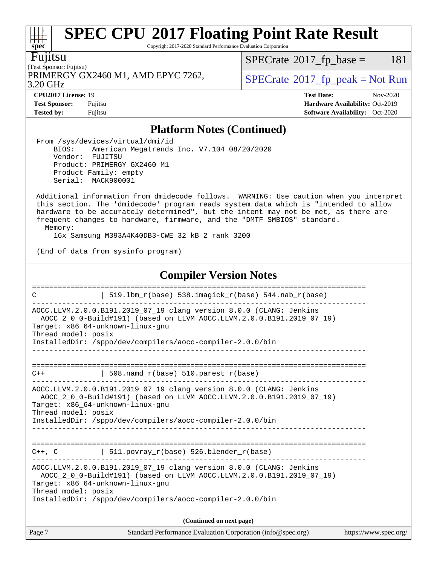Copyright 2017-2020 Standard Performance Evaluation Corporation

Fujitsu

(Test Sponsor: Fujitsu) PRIMERGY GX2460 M1, AMD EPYC 7262,  $\vert$  [SPECrate](http://www.spec.org/auto/cpu2017/Docs/result-fields.html#SPECrate2017fppeak)®[2017\\_fp\\_peak = N](http://www.spec.org/auto/cpu2017/Docs/result-fields.html#SPECrate2017fppeak)ot Run

 $SPECTate@2017_fp\_base = 181$ 

3.20 GHz

**[Tested by:](http://www.spec.org/auto/cpu2017/Docs/result-fields.html#Testedby)** Fujitsu **Fugital Exception Contract Contract Contract Contract Contract Contract Contract Contract Contract Contract Contract Contract Contract Contract Contract Contract Contract Contract Contract Contract Co** 

**[CPU2017 License:](http://www.spec.org/auto/cpu2017/Docs/result-fields.html#CPU2017License)** 19 **[Test Date:](http://www.spec.org/auto/cpu2017/Docs/result-fields.html#TestDate)** Nov-2020 **[Test Sponsor:](http://www.spec.org/auto/cpu2017/Docs/result-fields.html#TestSponsor)** Fujitsu **[Hardware Availability:](http://www.spec.org/auto/cpu2017/Docs/result-fields.html#HardwareAvailability)** Oct-2019

### **[Platform Notes \(Continued\)](http://www.spec.org/auto/cpu2017/Docs/result-fields.html#PlatformNotes)**

 From /sys/devices/virtual/dmi/id BIOS: American Megatrends Inc. V7.104 08/20/2020 Vendor: FUJITSU Product: PRIMERGY GX2460 M1 Product Family: empty Serial: MACK900001

 Additional information from dmidecode follows. WARNING: Use caution when you interpret this section. The 'dmidecode' program reads system data which is "intended to allow hardware to be accurately determined", but the intent may not be met, as there are frequent changes to hardware, firmware, and the "DMTF SMBIOS" standard. Memory:

16x Samsung M393A4K40DB3-CWE 32 kB 2 rank 3200

(End of data from sysinfo program)

### **[Compiler Version Notes](http://www.spec.org/auto/cpu2017/Docs/result-fields.html#CompilerVersionNotes)**

| C                   | 519.1bm_r(base) 538.imagick_r(base) 544.nab_r(base)                                                                                                                                                                                           |                       |
|---------------------|-----------------------------------------------------------------------------------------------------------------------------------------------------------------------------------------------------------------------------------------------|-----------------------|
| Thread model: posix | AOCC.LLVM.2.0.0.B191.2019_07_19 clang version 8.0.0 (CLANG: Jenkins<br>AOCC_2_0_0-Build#191) (based on LLVM AOCC.LLVM.2.0.0.B191.2019_07_19)<br>Target: x86 64-unknown-linux-gnu<br>InstalledDir: /sppo/dev/compilers/aocc-compiler-2.0.0/bin |                       |
| $C++$               | 508. $n$ amd_r(base) 510. $p$ arest_r(base)                                                                                                                                                                                                   |                       |
| Thread model: posix | AOCC.LLVM.2.0.0.B191.2019_07_19 clang version 8.0.0 (CLANG: Jenkins<br>AOCC 2 0 0-Build#191) (based on LLVM AOCC.LLVM.2.0.0.B191.2019 07 19)<br>Target: x86_64-unknown-linux-gnu<br>InstalledDir: /sppo/dev/compilers/aocc-compiler-2.0.0/bin |                       |
| $C++$ , $C$         | ----------------------------<br>  511.povray_r(base) 526.blender_r(base)                                                                                                                                                                      |                       |
| Thread model: posix | AOCC.LLVM.2.0.0.B191.2019_07_19 clang version 8.0.0 (CLANG: Jenkins<br>AOCC_2_0_0-Build#191) (based on LLVM AOCC.LLVM.2.0.0.B191.2019_07_19)<br>Target: x86_64-unknown-linux-gnu<br>InstalledDir: /sppo/dev/compilers/aocc-compiler-2.0.0/bin |                       |
|                     | (Continued on next page)                                                                                                                                                                                                                      |                       |
| Page 7              | Standard Performance Evaluation Corporation (info@spec.org)                                                                                                                                                                                   | https://www.spec.org/ |

 $\pm$ **[spec](http://www.spec.org/)**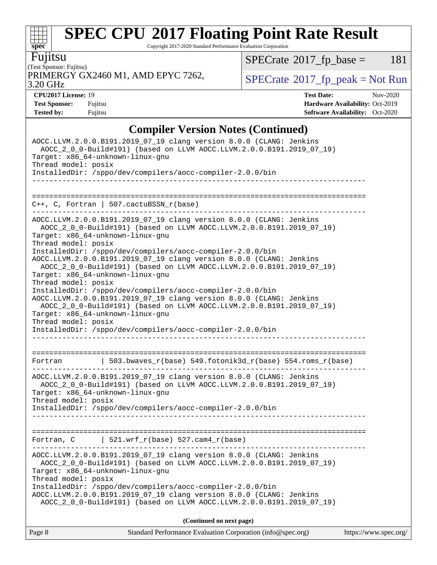Copyright 2017-2020 Standard Performance Evaluation Corporation

Fujitsu

(Test Sponsor: Fujitsu) 3.20 GHz PRIMERGY GX2460 M1, AMD EPYC 7262,  $\vert$  [SPECrate](http://www.spec.org/auto/cpu2017/Docs/result-fields.html#SPECrate2017fppeak) [2017\\_fp\\_peak = N](http://www.spec.org/auto/cpu2017/Docs/result-fields.html#SPECrate2017fppeak)ot Run

 $SPECTate@2017_fp\_base = 181$ 

**[spec](http://www.spec.org/)**

 $+\ +$ 

**[Tested by:](http://www.spec.org/auto/cpu2017/Docs/result-fields.html#Testedby)** Fujitsu **[Software Availability:](http://www.spec.org/auto/cpu2017/Docs/result-fields.html#SoftwareAvailability)** Oct-2020

**[CPU2017 License:](http://www.spec.org/auto/cpu2017/Docs/result-fields.html#CPU2017License)** 19 **[Test Date:](http://www.spec.org/auto/cpu2017/Docs/result-fields.html#TestDate)** Nov-2020 **[Test Sponsor:](http://www.spec.org/auto/cpu2017/Docs/result-fields.html#TestSponsor)** Fujitsu **[Hardware Availability:](http://www.spec.org/auto/cpu2017/Docs/result-fields.html#HardwareAvailability)** Oct-2019

### **[Compiler Version Notes \(Continued\)](http://www.spec.org/auto/cpu2017/Docs/result-fields.html#CompilerVersionNotes)**

| (Continued on next page)                                                                                                                                                                                                                                                                                                                                                                                             |  |
|----------------------------------------------------------------------------------------------------------------------------------------------------------------------------------------------------------------------------------------------------------------------------------------------------------------------------------------------------------------------------------------------------------------------|--|
| AOCC.LLVM.2.0.0.B191.2019_07_19 clang version 8.0.0 (CLANG: Jenkins<br>AOCC_2_0_0-Build#191) (based on LLVM AOCC.LLVM.2.0.0.B191.2019_07_19)<br>Target: x86_64-unknown-linux-gnu<br>Thread model: posix<br>InstalledDir: /sppo/dev/compilers/aocc-compiler-2.0.0/bin<br>AOCC.LLVM.2.0.0.B191.2019_07_19 clang version 8.0.0 (CLANG: Jenkins<br>AOCC 2 0 0-Build#191) (based on LLVM AOCC.LLVM.2.0.0.B191.2019 07 19) |  |
| Fortran, $C$   521.wrf_r(base) 527.cam4_r(base)<br>-------------------------------                                                                                                                                                                                                                                                                                                                                   |  |
| Target: x86_64-unknown-linux-gnu<br>Thread model: posix<br>InstalledDir: /sppo/dev/compilers/aocc-compiler-2.0.0/bin<br>_________________                                                                                                                                                                                                                                                                            |  |
| AOCC.LLVM.2.0.0.B191.2019_07_19 clang version 8.0.0 (CLANG: Jenkins<br>AOCC_2_0_0-Build#191) (based on LLVM AOCC.LLVM.2.0.0.B191.2019_07_19)                                                                                                                                                                                                                                                                         |  |
| Fortran $\vert$ 503.bwaves_r(base) 549.fotonik3d_r(base) 554.roms_r(base)                                                                                                                                                                                                                                                                                                                                            |  |
| Target: x86_64-unknown-linux-gnu<br>Thread model: posix<br>InstalledDir: /sppo/dev/compilers/aocc-compiler-2.0.0/bin                                                                                                                                                                                                                                                                                                 |  |
| Thread model: posix<br>InstalledDir: /sppo/dev/compilers/aocc-compiler-2.0.0/bin<br>AOCC.LLVM.2.0.0.B191.2019_07_19 clang version 8.0.0 (CLANG: Jenkins<br>AOCC_2_0_0-Build#191) (based on LLVM AOCC.LLVM.2.0.0.B191.2019_07_19)                                                                                                                                                                                     |  |
| Thread model: posix<br>InstalledDir: /sppo/dev/compilers/aocc-compiler-2.0.0/bin<br>AOCC.LLVM.2.0.0.B191.2019_07_19 clang version 8.0.0 (CLANG: Jenkins<br>AOCC_2_0_0-Build#191) (based on LLVM AOCC.LLVM.2.0.0.B191.2019_07_19)<br>Target: x86_64-unknown-linux-gnu                                                                                                                                                 |  |
| AOCC.LLVM.2.0.0.B191.2019_07_19 clang version 8.0.0 (CLANG: Jenkins<br>AOCC_2_0_0-Build#191) (based on LLVM AOCC.LLVM.2.0.0.B191.2019_07_19)<br>Target: x86 64-unknown-linux-gnu                                                                                                                                                                                                                                     |  |
| $C++$ , C, Fortran   507.cactuBSSN_r(base)                                                                                                                                                                                                                                                                                                                                                                           |  |
| Thread model: posix<br>InstalledDir: /sppo/dev/compilers/aocc-compiler-2.0.0/bin                                                                                                                                                                                                                                                                                                                                     |  |
|                                                                                                                                                                                                                                                                                                                                                                                                                      |  |
| AOCC.LLVM.2.0.0.B191.2019_07_19 clang version 8.0.0 (CLANG: Jenkins<br>AOCC_2_0_0-Build#191) (based on LLVM AOCC.LLVM.2.0.0.B191.2019_07_19)<br>Target: x86_64-unknown-linux-gnu                                                                                                                                                                                                                                     |  |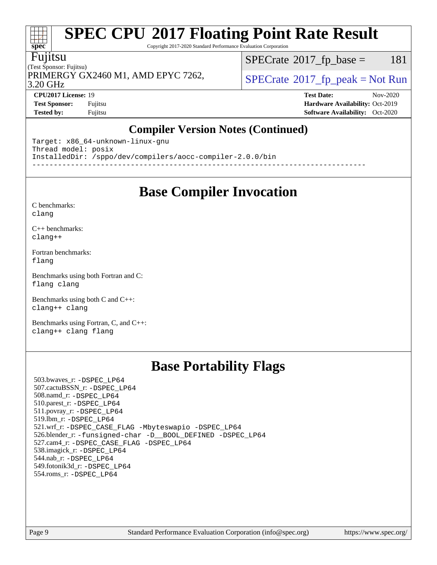Copyright 2017-2020 Standard Performance Evaluation Corporation

#### Fujitsu

**[spec](http://www.spec.org/)**

at t

(Test Sponsor: Fujitsu) 3.20 GHz PRIMERGY GX2460 M1, AMD EPYC 7262,  $\vert$  [SPECrate](http://www.spec.org/auto/cpu2017/Docs/result-fields.html#SPECrate2017fppeak)®[2017\\_fp\\_peak = N](http://www.spec.org/auto/cpu2017/Docs/result-fields.html#SPECrate2017fppeak)ot Run

 $SPECTate@2017<sub>fr</sub> base = 181$ 

**[CPU2017 License:](http://www.spec.org/auto/cpu2017/Docs/result-fields.html#CPU2017License)** 19 **[Test Date:](http://www.spec.org/auto/cpu2017/Docs/result-fields.html#TestDate)** Nov-2020 **[Test Sponsor:](http://www.spec.org/auto/cpu2017/Docs/result-fields.html#TestSponsor)** Fujitsu **[Hardware Availability:](http://www.spec.org/auto/cpu2017/Docs/result-fields.html#HardwareAvailability)** Oct-2019 **[Tested by:](http://www.spec.org/auto/cpu2017/Docs/result-fields.html#Testedby)** Fujitsu **[Software Availability:](http://www.spec.org/auto/cpu2017/Docs/result-fields.html#SoftwareAvailability)** Oct-2020

### **[Compiler Version Notes \(Continued\)](http://www.spec.org/auto/cpu2017/Docs/result-fields.html#CompilerVersionNotes)**

Target: x86\_64-unknown-linux-gnu Thread model: posix InstalledDir: /sppo/dev/compilers/aocc-compiler-2.0.0/bin ------------------------------------------------------------------------------

### **[Base Compiler Invocation](http://www.spec.org/auto/cpu2017/Docs/result-fields.html#BaseCompilerInvocation)**

[C benchmarks](http://www.spec.org/auto/cpu2017/Docs/result-fields.html#Cbenchmarks): [clang](http://www.spec.org/cpu2017/results/res2020q4/cpu2017-20201124-24485.flags.html#user_CCbase_clang-c)

[C++ benchmarks:](http://www.spec.org/auto/cpu2017/Docs/result-fields.html#CXXbenchmarks) [clang++](http://www.spec.org/cpu2017/results/res2020q4/cpu2017-20201124-24485.flags.html#user_CXXbase_clang-cpp)

[Fortran benchmarks](http://www.spec.org/auto/cpu2017/Docs/result-fields.html#Fortranbenchmarks): [flang](http://www.spec.org/cpu2017/results/res2020q4/cpu2017-20201124-24485.flags.html#user_FCbase_flang)

[Benchmarks using both Fortran and C](http://www.spec.org/auto/cpu2017/Docs/result-fields.html#BenchmarksusingbothFortranandC): [flang](http://www.spec.org/cpu2017/results/res2020q4/cpu2017-20201124-24485.flags.html#user_CC_FCbase_flang) [clang](http://www.spec.org/cpu2017/results/res2020q4/cpu2017-20201124-24485.flags.html#user_CC_FCbase_clang-c)

[Benchmarks using both C and C++](http://www.spec.org/auto/cpu2017/Docs/result-fields.html#BenchmarksusingbothCandCXX): [clang++](http://www.spec.org/cpu2017/results/res2020q4/cpu2017-20201124-24485.flags.html#user_CC_CXXbase_clang-cpp) [clang](http://www.spec.org/cpu2017/results/res2020q4/cpu2017-20201124-24485.flags.html#user_CC_CXXbase_clang-c)

[Benchmarks using Fortran, C, and C++:](http://www.spec.org/auto/cpu2017/Docs/result-fields.html#BenchmarksusingFortranCandCXX) [clang++](http://www.spec.org/cpu2017/results/res2020q4/cpu2017-20201124-24485.flags.html#user_CC_CXX_FCbase_clang-cpp) [clang](http://www.spec.org/cpu2017/results/res2020q4/cpu2017-20201124-24485.flags.html#user_CC_CXX_FCbase_clang-c) [flang](http://www.spec.org/cpu2017/results/res2020q4/cpu2017-20201124-24485.flags.html#user_CC_CXX_FCbase_flang)

### **[Base Portability Flags](http://www.spec.org/auto/cpu2017/Docs/result-fields.html#BasePortabilityFlags)**

 503.bwaves\_r: [-DSPEC\\_LP64](http://www.spec.org/cpu2017/results/res2020q4/cpu2017-20201124-24485.flags.html#suite_baseEXTRA_PORTABILITY503_bwaves_r_DSPEC_LP64) 507.cactuBSSN\_r: [-DSPEC\\_LP64](http://www.spec.org/cpu2017/results/res2020q4/cpu2017-20201124-24485.flags.html#suite_baseEXTRA_PORTABILITY507_cactuBSSN_r_DSPEC_LP64) 508.namd\_r: [-DSPEC\\_LP64](http://www.spec.org/cpu2017/results/res2020q4/cpu2017-20201124-24485.flags.html#suite_baseEXTRA_PORTABILITY508_namd_r_DSPEC_LP64) 510.parest\_r: [-DSPEC\\_LP64](http://www.spec.org/cpu2017/results/res2020q4/cpu2017-20201124-24485.flags.html#suite_baseEXTRA_PORTABILITY510_parest_r_DSPEC_LP64) 511.povray\_r: [-DSPEC\\_LP64](http://www.spec.org/cpu2017/results/res2020q4/cpu2017-20201124-24485.flags.html#suite_baseEXTRA_PORTABILITY511_povray_r_DSPEC_LP64) 519.lbm\_r: [-DSPEC\\_LP64](http://www.spec.org/cpu2017/results/res2020q4/cpu2017-20201124-24485.flags.html#suite_baseEXTRA_PORTABILITY519_lbm_r_DSPEC_LP64) 521.wrf\_r: [-DSPEC\\_CASE\\_FLAG](http://www.spec.org/cpu2017/results/res2020q4/cpu2017-20201124-24485.flags.html#b521.wrf_r_baseCPORTABILITY_DSPEC_CASE_FLAG) [-Mbyteswapio](http://www.spec.org/cpu2017/results/res2020q4/cpu2017-20201124-24485.flags.html#user_baseFPORTABILITY521_wrf_r_F-mbyteswapio_543c39ce38db59bcbc3b888917ef58c313007ae1c27520b689e012995ae261114051d1d5efcb4182d175ce22a6a15532d3a9999882dd2c360e6d853f41da6883) [-DSPEC\\_LP64](http://www.spec.org/cpu2017/results/res2020q4/cpu2017-20201124-24485.flags.html#suite_baseEXTRA_PORTABILITY521_wrf_r_DSPEC_LP64) 526.blender\_r: [-funsigned-char](http://www.spec.org/cpu2017/results/res2020q4/cpu2017-20201124-24485.flags.html#user_baseCPORTABILITY526_blender_r_aocc-unsigned-char) [-D\\_\\_BOOL\\_DEFINED](http://www.spec.org/cpu2017/results/res2020q4/cpu2017-20201124-24485.flags.html#b526.blender_r_baseCXXPORTABILITY_D__BOOL_DEFINED) [-DSPEC\\_LP64](http://www.spec.org/cpu2017/results/res2020q4/cpu2017-20201124-24485.flags.html#suite_baseEXTRA_PORTABILITY526_blender_r_DSPEC_LP64) 527.cam4\_r: [-DSPEC\\_CASE\\_FLAG](http://www.spec.org/cpu2017/results/res2020q4/cpu2017-20201124-24485.flags.html#b527.cam4_r_basePORTABILITY_DSPEC_CASE_FLAG) [-DSPEC\\_LP64](http://www.spec.org/cpu2017/results/res2020q4/cpu2017-20201124-24485.flags.html#suite_baseEXTRA_PORTABILITY527_cam4_r_DSPEC_LP64) 538.imagick\_r: [-DSPEC\\_LP64](http://www.spec.org/cpu2017/results/res2020q4/cpu2017-20201124-24485.flags.html#suite_baseEXTRA_PORTABILITY538_imagick_r_DSPEC_LP64) 544.nab\_r: [-DSPEC\\_LP64](http://www.spec.org/cpu2017/results/res2020q4/cpu2017-20201124-24485.flags.html#suite_baseEXTRA_PORTABILITY544_nab_r_DSPEC_LP64) 549.fotonik3d\_r: [-DSPEC\\_LP64](http://www.spec.org/cpu2017/results/res2020q4/cpu2017-20201124-24485.flags.html#suite_baseEXTRA_PORTABILITY549_fotonik3d_r_DSPEC_LP64) 554.roms\_r: [-DSPEC\\_LP64](http://www.spec.org/cpu2017/results/res2020q4/cpu2017-20201124-24485.flags.html#suite_baseEXTRA_PORTABILITY554_roms_r_DSPEC_LP64)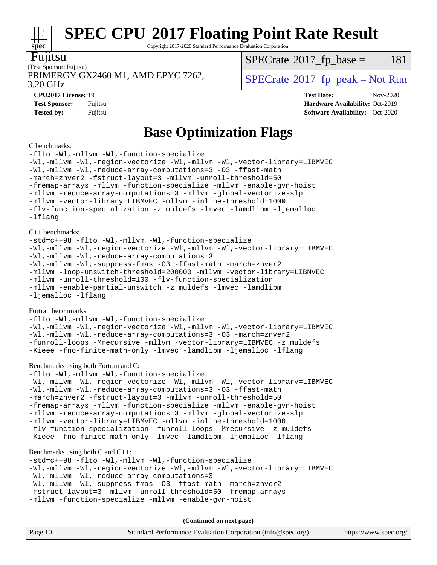Copyright 2017-2020 Standard Performance Evaluation Corporation

| ı<br>1<br>I | ι. |
|-------------|----|

**[spec](http://www.spec.org/)**

### (Test Sponsor: Fujitsu) PRIMERGY GX2460 M1, AMD EPYC 7262,  $\vert$  [SPECrate](http://www.spec.org/auto/cpu2017/Docs/result-fields.html#SPECrate2017fppeak) 2017 fp peak = Not Run

 $SPECTate@2017<sub>fr</sub> base = 181$ 

3.20 GHz

**[CPU2017 License:](http://www.spec.org/auto/cpu2017/Docs/result-fields.html#CPU2017License)** 19 **[Test Date:](http://www.spec.org/auto/cpu2017/Docs/result-fields.html#TestDate)** Nov-2020 **[Test Sponsor:](http://www.spec.org/auto/cpu2017/Docs/result-fields.html#TestSponsor)** Fujitsu **[Hardware Availability:](http://www.spec.org/auto/cpu2017/Docs/result-fields.html#HardwareAvailability)** Oct-2019 **[Tested by:](http://www.spec.org/auto/cpu2017/Docs/result-fields.html#Testedby)** Fujitsu **Fugital Exception Contract Contract Contract Contract Contract Contract Contract Contract Contract Contract Contract Contract Contract Contract Contract Contract Contract Contract Contract Contract Co** 

### **[Base Optimization Flags](http://www.spec.org/auto/cpu2017/Docs/result-fields.html#BaseOptimizationFlags)**

#### [C benchmarks:](http://www.spec.org/auto/cpu2017/Docs/result-fields.html#Cbenchmarks)

[-flto](http://www.spec.org/cpu2017/results/res2020q4/cpu2017-20201124-24485.flags.html#user_CCbase_aocc-flto) [-Wl,-mllvm -Wl,-function-specialize](http://www.spec.org/cpu2017/results/res2020q4/cpu2017-20201124-24485.flags.html#user_CCbase_F-function-specialize_7e7e661e57922243ee67c9a1251cb8910e607325179a0ce7f2884e09a6f5d4a5ef0ae4f37e8a2a11c95fc48e931f06dc2b6016f14b511fcb441e048bef1b065a) [-Wl,-mllvm -Wl,-region-vectorize](http://www.spec.org/cpu2017/results/res2020q4/cpu2017-20201124-24485.flags.html#user_CCbase_F-region-vectorize_fb6c6b5aa293c88efc6c7c2b52b20755e943585b1fe8658c35afef78727fff56e1a56891413c30e36b8e2a6f9a71126986319243e80eb6110b78b288f533c52b) [-Wl,-mllvm -Wl,-vector-library=LIBMVEC](http://www.spec.org/cpu2017/results/res2020q4/cpu2017-20201124-24485.flags.html#user_CCbase_F-use-vector-library_0a14b27fae317f283640384a31f7bfcc2bd4c1d0b5cfc618a3a430800c9b20217b00f61303eff223a3251b4f06ffbc9739dc5296db9d1fbb9ad24a3939d86d66) [-Wl,-mllvm -Wl,-reduce-array-computations=3](http://www.spec.org/cpu2017/results/res2020q4/cpu2017-20201124-24485.flags.html#user_CCbase_F-reduce-array-computations_b882aefe7a5dda4e33149f6299762b9a720dace3e498e13756f4c04e5a19edf5315c1f3993de2e61ec41e8c206231f84e05da7040e1bb5d69ba27d10a12507e4) [-O3](http://www.spec.org/cpu2017/results/res2020q4/cpu2017-20201124-24485.flags.html#user_CCbase_F-O3) [-ffast-math](http://www.spec.org/cpu2017/results/res2020q4/cpu2017-20201124-24485.flags.html#user_CCbase_aocc-ffast-math) [-march=znver2](http://www.spec.org/cpu2017/results/res2020q4/cpu2017-20201124-24485.flags.html#user_CCbase_aocc-march_3e2e19cff2eeef60c5d90b059483627c9ea47eca6d66670dbd53f9185f6439e27eb5e104cf773e9e8ab18c8842ce63e461a3e948d0214bd567ef3ade411bf467) [-fstruct-layout=3](http://www.spec.org/cpu2017/results/res2020q4/cpu2017-20201124-24485.flags.html#user_CCbase_F-struct-layout) [-mllvm -unroll-threshold=50](http://www.spec.org/cpu2017/results/res2020q4/cpu2017-20201124-24485.flags.html#user_CCbase_F-unroll-threshold_458874500b2c105d6d5cb4d7a611c40e2b16e9e3d26b355fea72d644c3673b4de4b3932662f0ed3dbec75c491a13da2d2ca81180bd779dc531083ef1e1e549dc) [-fremap-arrays](http://www.spec.org/cpu2017/results/res2020q4/cpu2017-20201124-24485.flags.html#user_CCbase_F-fremap-arrays) [-mllvm -function-specialize](http://www.spec.org/cpu2017/results/res2020q4/cpu2017-20201124-24485.flags.html#user_CCbase_F-function-specialize_233b3bdba86027f1b094368157e481c5bc59f40286dc25bfadc1858dcd5745c24fd30d5f188710db7fea399bcc9f44a80b3ce3aacc70a8870250c3ae5e1f35b8) [-mllvm -enable-gvn-hoist](http://www.spec.org/cpu2017/results/res2020q4/cpu2017-20201124-24485.flags.html#user_CCbase_F-enable-gvn-hoist_e5856354646dd6ca1333a0ad99b817e4cf8932b91b82809fd8fd47ceff7b22a89eba5c98fd3e3fa5200368fd772cec3dd56abc3c8f7b655a71b9f9848dddedd5) [-mllvm -reduce-array-computations=3](http://www.spec.org/cpu2017/results/res2020q4/cpu2017-20201124-24485.flags.html#user_CCbase_F-reduce-array-computations_aceadb8604558b566e0e3a0d7a3c1533923dd1fa0889614e16288028922629a28d5695c24d3b3be4306b1e311c54317dfffe3a2e57fbcaabc737a1798de39145) [-mllvm -global-vectorize-slp](http://www.spec.org/cpu2017/results/res2020q4/cpu2017-20201124-24485.flags.html#user_CCbase_F-global-vectorize-slp_a3935e8627af4ced727033b1ffd4db27f4d541a363d28d82bf4c2925fb3a0fd4115d6e42d13a2829f9e024d6608eb67a85cb49770f2da5c5ac8dbc737afad603) [-mllvm -vector-library=LIBMVEC](http://www.spec.org/cpu2017/results/res2020q4/cpu2017-20201124-24485.flags.html#user_CCbase_F-use-vector-library_e584e20b4f7ec96aa109254b65d8e01d864f3d68580371b9d93ed7c338191d4cfce20c3c864632264effc6bbe4c7c38153d02096a342ee92501c4a53204a7871) [-mllvm -inline-threshold=1000](http://www.spec.org/cpu2017/results/res2020q4/cpu2017-20201124-24485.flags.html#user_CCbase_dragonegg-llvm-inline-threshold_b7832241b0a6397e4ecdbaf0eb7defdc10f885c2a282fa3240fdc99844d543fda39cf8a4a9dccf68cf19b5438ac3b455264f478df15da0f4988afa40d8243bab) [-flv-function-specialization](http://www.spec.org/cpu2017/results/res2020q4/cpu2017-20201124-24485.flags.html#user_CCbase_F-flv-function-specialization) [-z muldefs](http://www.spec.org/cpu2017/results/res2020q4/cpu2017-20201124-24485.flags.html#user_CCbase_aocc-muldefs) [-lmvec](http://www.spec.org/cpu2017/results/res2020q4/cpu2017-20201124-24485.flags.html#user_CCbase_F-lmvec) [-lamdlibm](http://www.spec.org/cpu2017/results/res2020q4/cpu2017-20201124-24485.flags.html#user_CCbase_F-lamdlibm) [-ljemalloc](http://www.spec.org/cpu2017/results/res2020q4/cpu2017-20201124-24485.flags.html#user_CCbase_jemalloc-lib) [-lflang](http://www.spec.org/cpu2017/results/res2020q4/cpu2017-20201124-24485.flags.html#user_CCbase_F-lflang) [C++ benchmarks](http://www.spec.org/auto/cpu2017/Docs/result-fields.html#CXXbenchmarks): [-std=c++98](http://www.spec.org/cpu2017/results/res2020q4/cpu2017-20201124-24485.flags.html#user_CXXbase_std-cpp) [-flto](http://www.spec.org/cpu2017/results/res2020q4/cpu2017-20201124-24485.flags.html#user_CXXbase_aocc-flto) [-Wl,-mllvm -Wl,-function-specialize](http://www.spec.org/cpu2017/results/res2020q4/cpu2017-20201124-24485.flags.html#user_CXXbase_F-function-specialize_7e7e661e57922243ee67c9a1251cb8910e607325179a0ce7f2884e09a6f5d4a5ef0ae4f37e8a2a11c95fc48e931f06dc2b6016f14b511fcb441e048bef1b065a) [-Wl,-mllvm -Wl,-region-vectorize](http://www.spec.org/cpu2017/results/res2020q4/cpu2017-20201124-24485.flags.html#user_CXXbase_F-region-vectorize_fb6c6b5aa293c88efc6c7c2b52b20755e943585b1fe8658c35afef78727fff56e1a56891413c30e36b8e2a6f9a71126986319243e80eb6110b78b288f533c52b) [-Wl,-mllvm -Wl,-vector-library=LIBMVEC](http://www.spec.org/cpu2017/results/res2020q4/cpu2017-20201124-24485.flags.html#user_CXXbase_F-use-vector-library_0a14b27fae317f283640384a31f7bfcc2bd4c1d0b5cfc618a3a430800c9b20217b00f61303eff223a3251b4f06ffbc9739dc5296db9d1fbb9ad24a3939d86d66) [-Wl,-mllvm -Wl,-reduce-array-computations=3](http://www.spec.org/cpu2017/results/res2020q4/cpu2017-20201124-24485.flags.html#user_CXXbase_F-reduce-array-computations_b882aefe7a5dda4e33149f6299762b9a720dace3e498e13756f4c04e5a19edf5315c1f3993de2e61ec41e8c206231f84e05da7040e1bb5d69ba27d10a12507e4) [-Wl,-mllvm -Wl,-suppress-fmas](http://www.spec.org/cpu2017/results/res2020q4/cpu2017-20201124-24485.flags.html#user_CXXbase_F-suppress-fmas_f00f00630e4a059e8af9c161e9bbf420bcf19890a7f99d5933525e66aa4b0bb3ab2339d2b12d97d3a5f5d271e839fe9c109938e91fe06230fb53651590cfa1e8) [-O3](http://www.spec.org/cpu2017/results/res2020q4/cpu2017-20201124-24485.flags.html#user_CXXbase_F-O3) [-ffast-math](http://www.spec.org/cpu2017/results/res2020q4/cpu2017-20201124-24485.flags.html#user_CXXbase_aocc-ffast-math) [-march=znver2](http://www.spec.org/cpu2017/results/res2020q4/cpu2017-20201124-24485.flags.html#user_CXXbase_aocc-march_3e2e19cff2eeef60c5d90b059483627c9ea47eca6d66670dbd53f9185f6439e27eb5e104cf773e9e8ab18c8842ce63e461a3e948d0214bd567ef3ade411bf467) [-mllvm -loop-unswitch-threshold=200000](http://www.spec.org/cpu2017/results/res2020q4/cpu2017-20201124-24485.flags.html#user_CXXbase_F-loop-unswitch-threshold_f9a82ae3270e55b5fbf79d0d96ee93606b73edbbe527d20b18b7bff1a3a146ad50cfc7454c5297978340ae9213029016a7d16221274d672d3f7f42ed25274e1d) [-mllvm -vector-library=LIBMVEC](http://www.spec.org/cpu2017/results/res2020q4/cpu2017-20201124-24485.flags.html#user_CXXbase_F-use-vector-library_e584e20b4f7ec96aa109254b65d8e01d864f3d68580371b9d93ed7c338191d4cfce20c3c864632264effc6bbe4c7c38153d02096a342ee92501c4a53204a7871) [-mllvm -unroll-threshold=100](http://www.spec.org/cpu2017/results/res2020q4/cpu2017-20201124-24485.flags.html#user_CXXbase_F-unroll-threshold_2755d0c78138845d361fa1543e3a063fffa198df9b3edf0cfb856bbc88a81e1769b12ac7a550c5d35197be55360db1a3f95a8d1304df999456cabf5120c45168) [-flv-function-specialization](http://www.spec.org/cpu2017/results/res2020q4/cpu2017-20201124-24485.flags.html#user_CXXbase_F-flv-function-specialization) [-mllvm -enable-partial-unswitch](http://www.spec.org/cpu2017/results/res2020q4/cpu2017-20201124-24485.flags.html#user_CXXbase_F-enable-partial-unswitch_6e1c33f981d77963b1eaf834973128a7f33ce3f8e27f54689656697a35e89dcc875281e0e6283d043e32f367dcb605ba0e307a92e830f7e326789fa6c61b35d3) [-z muldefs](http://www.spec.org/cpu2017/results/res2020q4/cpu2017-20201124-24485.flags.html#user_CXXbase_aocc-muldefs) [-lmvec](http://www.spec.org/cpu2017/results/res2020q4/cpu2017-20201124-24485.flags.html#user_CXXbase_F-lmvec) [-lamdlibm](http://www.spec.org/cpu2017/results/res2020q4/cpu2017-20201124-24485.flags.html#user_CXXbase_F-lamdlibm) [-ljemalloc](http://www.spec.org/cpu2017/results/res2020q4/cpu2017-20201124-24485.flags.html#user_CXXbase_jemalloc-lib) [-lflang](http://www.spec.org/cpu2017/results/res2020q4/cpu2017-20201124-24485.flags.html#user_CXXbase_F-lflang) [Fortran benchmarks:](http://www.spec.org/auto/cpu2017/Docs/result-fields.html#Fortranbenchmarks) [-flto](http://www.spec.org/cpu2017/results/res2020q4/cpu2017-20201124-24485.flags.html#user_FCbase_aocc-flto) [-Wl,-mllvm -Wl,-function-specialize](http://www.spec.org/cpu2017/results/res2020q4/cpu2017-20201124-24485.flags.html#user_FCbase_F-function-specialize_7e7e661e57922243ee67c9a1251cb8910e607325179a0ce7f2884e09a6f5d4a5ef0ae4f37e8a2a11c95fc48e931f06dc2b6016f14b511fcb441e048bef1b065a) [-Wl,-mllvm -Wl,-region-vectorize](http://www.spec.org/cpu2017/results/res2020q4/cpu2017-20201124-24485.flags.html#user_FCbase_F-region-vectorize_fb6c6b5aa293c88efc6c7c2b52b20755e943585b1fe8658c35afef78727fff56e1a56891413c30e36b8e2a6f9a71126986319243e80eb6110b78b288f533c52b) [-Wl,-mllvm -Wl,-vector-library=LIBMVEC](http://www.spec.org/cpu2017/results/res2020q4/cpu2017-20201124-24485.flags.html#user_FCbase_F-use-vector-library_0a14b27fae317f283640384a31f7bfcc2bd4c1d0b5cfc618a3a430800c9b20217b00f61303eff223a3251b4f06ffbc9739dc5296db9d1fbb9ad24a3939d86d66) [-Wl,-mllvm -Wl,-reduce-array-computations=3](http://www.spec.org/cpu2017/results/res2020q4/cpu2017-20201124-24485.flags.html#user_FCbase_F-reduce-array-computations_b882aefe7a5dda4e33149f6299762b9a720dace3e498e13756f4c04e5a19edf5315c1f3993de2e61ec41e8c206231f84e05da7040e1bb5d69ba27d10a12507e4) [-O3](http://www.spec.org/cpu2017/results/res2020q4/cpu2017-20201124-24485.flags.html#user_FCbase_F-O3) [-march=znver2](http://www.spec.org/cpu2017/results/res2020q4/cpu2017-20201124-24485.flags.html#user_FCbase_aocc-march_3e2e19cff2eeef60c5d90b059483627c9ea47eca6d66670dbd53f9185f6439e27eb5e104cf773e9e8ab18c8842ce63e461a3e948d0214bd567ef3ade411bf467) [-funroll-loops](http://www.spec.org/cpu2017/results/res2020q4/cpu2017-20201124-24485.flags.html#user_FCbase_aocc-unroll-loops) [-Mrecursive](http://www.spec.org/cpu2017/results/res2020q4/cpu2017-20201124-24485.flags.html#user_FCbase_F-mrecursive_20a145d63f12d5750a899e17d4450b5b8b40330a9bb4af13688ca650e6fb30857bbbe44fb35cdbb895df6e5b2769de0a0d7659f51ff17acfbef6febafec4023f) [-mllvm -vector-library=LIBMVEC](http://www.spec.org/cpu2017/results/res2020q4/cpu2017-20201124-24485.flags.html#user_FCbase_F-use-vector-library_e584e20b4f7ec96aa109254b65d8e01d864f3d68580371b9d93ed7c338191d4cfce20c3c864632264effc6bbe4c7c38153d02096a342ee92501c4a53204a7871) [-z muldefs](http://www.spec.org/cpu2017/results/res2020q4/cpu2017-20201124-24485.flags.html#user_FCbase_aocc-muldefs) [-Kieee](http://www.spec.org/cpu2017/results/res2020q4/cpu2017-20201124-24485.flags.html#user_FCbase_F-kieee) [-fno-finite-math-only](http://www.spec.org/cpu2017/results/res2020q4/cpu2017-20201124-24485.flags.html#user_FCbase_aocc-fno-finite-math-only) [-lmvec](http://www.spec.org/cpu2017/results/res2020q4/cpu2017-20201124-24485.flags.html#user_FCbase_F-lmvec) [-lamdlibm](http://www.spec.org/cpu2017/results/res2020q4/cpu2017-20201124-24485.flags.html#user_FCbase_F-lamdlibm) [-ljemalloc](http://www.spec.org/cpu2017/results/res2020q4/cpu2017-20201124-24485.flags.html#user_FCbase_jemalloc-lib) [-lflang](http://www.spec.org/cpu2017/results/res2020q4/cpu2017-20201124-24485.flags.html#user_FCbase_F-lflang) [Benchmarks using both Fortran and C:](http://www.spec.org/auto/cpu2017/Docs/result-fields.html#BenchmarksusingbothFortranandC) [-flto](http://www.spec.org/cpu2017/results/res2020q4/cpu2017-20201124-24485.flags.html#user_CC_FCbase_aocc-flto) [-Wl,-mllvm -Wl,-function-specialize](http://www.spec.org/cpu2017/results/res2020q4/cpu2017-20201124-24485.flags.html#user_CC_FCbase_F-function-specialize_7e7e661e57922243ee67c9a1251cb8910e607325179a0ce7f2884e09a6f5d4a5ef0ae4f37e8a2a11c95fc48e931f06dc2b6016f14b511fcb441e048bef1b065a) [-Wl,-mllvm -Wl,-region-vectorize](http://www.spec.org/cpu2017/results/res2020q4/cpu2017-20201124-24485.flags.html#user_CC_FCbase_F-region-vectorize_fb6c6b5aa293c88efc6c7c2b52b20755e943585b1fe8658c35afef78727fff56e1a56891413c30e36b8e2a6f9a71126986319243e80eb6110b78b288f533c52b) [-Wl,-mllvm -Wl,-vector-library=LIBMVEC](http://www.spec.org/cpu2017/results/res2020q4/cpu2017-20201124-24485.flags.html#user_CC_FCbase_F-use-vector-library_0a14b27fae317f283640384a31f7bfcc2bd4c1d0b5cfc618a3a430800c9b20217b00f61303eff223a3251b4f06ffbc9739dc5296db9d1fbb9ad24a3939d86d66) [-Wl,-mllvm -Wl,-reduce-array-computations=3](http://www.spec.org/cpu2017/results/res2020q4/cpu2017-20201124-24485.flags.html#user_CC_FCbase_F-reduce-array-computations_b882aefe7a5dda4e33149f6299762b9a720dace3e498e13756f4c04e5a19edf5315c1f3993de2e61ec41e8c206231f84e05da7040e1bb5d69ba27d10a12507e4) [-O3](http://www.spec.org/cpu2017/results/res2020q4/cpu2017-20201124-24485.flags.html#user_CC_FCbase_F-O3) [-ffast-math](http://www.spec.org/cpu2017/results/res2020q4/cpu2017-20201124-24485.flags.html#user_CC_FCbase_aocc-ffast-math) [-march=znver2](http://www.spec.org/cpu2017/results/res2020q4/cpu2017-20201124-24485.flags.html#user_CC_FCbase_aocc-march_3e2e19cff2eeef60c5d90b059483627c9ea47eca6d66670dbd53f9185f6439e27eb5e104cf773e9e8ab18c8842ce63e461a3e948d0214bd567ef3ade411bf467) [-fstruct-layout=3](http://www.spec.org/cpu2017/results/res2020q4/cpu2017-20201124-24485.flags.html#user_CC_FCbase_F-struct-layout) [-mllvm -unroll-threshold=50](http://www.spec.org/cpu2017/results/res2020q4/cpu2017-20201124-24485.flags.html#user_CC_FCbase_F-unroll-threshold_458874500b2c105d6d5cb4d7a611c40e2b16e9e3d26b355fea72d644c3673b4de4b3932662f0ed3dbec75c491a13da2d2ca81180bd779dc531083ef1e1e549dc) [-fremap-arrays](http://www.spec.org/cpu2017/results/res2020q4/cpu2017-20201124-24485.flags.html#user_CC_FCbase_F-fremap-arrays) [-mllvm -function-specialize](http://www.spec.org/cpu2017/results/res2020q4/cpu2017-20201124-24485.flags.html#user_CC_FCbase_F-function-specialize_233b3bdba86027f1b094368157e481c5bc59f40286dc25bfadc1858dcd5745c24fd30d5f188710db7fea399bcc9f44a80b3ce3aacc70a8870250c3ae5e1f35b8) [-mllvm -enable-gvn-hoist](http://www.spec.org/cpu2017/results/res2020q4/cpu2017-20201124-24485.flags.html#user_CC_FCbase_F-enable-gvn-hoist_e5856354646dd6ca1333a0ad99b817e4cf8932b91b82809fd8fd47ceff7b22a89eba5c98fd3e3fa5200368fd772cec3dd56abc3c8f7b655a71b9f9848dddedd5) [-mllvm -reduce-array-computations=3](http://www.spec.org/cpu2017/results/res2020q4/cpu2017-20201124-24485.flags.html#user_CC_FCbase_F-reduce-array-computations_aceadb8604558b566e0e3a0d7a3c1533923dd1fa0889614e16288028922629a28d5695c24d3b3be4306b1e311c54317dfffe3a2e57fbcaabc737a1798de39145) [-mllvm -global-vectorize-slp](http://www.spec.org/cpu2017/results/res2020q4/cpu2017-20201124-24485.flags.html#user_CC_FCbase_F-global-vectorize-slp_a3935e8627af4ced727033b1ffd4db27f4d541a363d28d82bf4c2925fb3a0fd4115d6e42d13a2829f9e024d6608eb67a85cb49770f2da5c5ac8dbc737afad603) [-mllvm -vector-library=LIBMVEC](http://www.spec.org/cpu2017/results/res2020q4/cpu2017-20201124-24485.flags.html#user_CC_FCbase_F-use-vector-library_e584e20b4f7ec96aa109254b65d8e01d864f3d68580371b9d93ed7c338191d4cfce20c3c864632264effc6bbe4c7c38153d02096a342ee92501c4a53204a7871) [-mllvm -inline-threshold=1000](http://www.spec.org/cpu2017/results/res2020q4/cpu2017-20201124-24485.flags.html#user_CC_FCbase_dragonegg-llvm-inline-threshold_b7832241b0a6397e4ecdbaf0eb7defdc10f885c2a282fa3240fdc99844d543fda39cf8a4a9dccf68cf19b5438ac3b455264f478df15da0f4988afa40d8243bab) [-flv-function-specialization](http://www.spec.org/cpu2017/results/res2020q4/cpu2017-20201124-24485.flags.html#user_CC_FCbase_F-flv-function-specialization) [-funroll-loops](http://www.spec.org/cpu2017/results/res2020q4/cpu2017-20201124-24485.flags.html#user_CC_FCbase_aocc-unroll-loops) [-Mrecursive](http://www.spec.org/cpu2017/results/res2020q4/cpu2017-20201124-24485.flags.html#user_CC_FCbase_F-mrecursive_20a145d63f12d5750a899e17d4450b5b8b40330a9bb4af13688ca650e6fb30857bbbe44fb35cdbb895df6e5b2769de0a0d7659f51ff17acfbef6febafec4023f) [-z muldefs](http://www.spec.org/cpu2017/results/res2020q4/cpu2017-20201124-24485.flags.html#user_CC_FCbase_aocc-muldefs) [-Kieee](http://www.spec.org/cpu2017/results/res2020q4/cpu2017-20201124-24485.flags.html#user_CC_FCbase_F-kieee) [-fno-finite-math-only](http://www.spec.org/cpu2017/results/res2020q4/cpu2017-20201124-24485.flags.html#user_CC_FCbase_aocc-fno-finite-math-only) [-lmvec](http://www.spec.org/cpu2017/results/res2020q4/cpu2017-20201124-24485.flags.html#user_CC_FCbase_F-lmvec) [-lamdlibm](http://www.spec.org/cpu2017/results/res2020q4/cpu2017-20201124-24485.flags.html#user_CC_FCbase_F-lamdlibm) [-ljemalloc](http://www.spec.org/cpu2017/results/res2020q4/cpu2017-20201124-24485.flags.html#user_CC_FCbase_jemalloc-lib) [-lflang](http://www.spec.org/cpu2017/results/res2020q4/cpu2017-20201124-24485.flags.html#user_CC_FCbase_F-lflang) [Benchmarks using both C and C++](http://www.spec.org/auto/cpu2017/Docs/result-fields.html#BenchmarksusingbothCandCXX): [-std=c++98](http://www.spec.org/cpu2017/results/res2020q4/cpu2017-20201124-24485.flags.html#user_CC_CXXbase_std-cpp) [-flto](http://www.spec.org/cpu2017/results/res2020q4/cpu2017-20201124-24485.flags.html#user_CC_CXXbase_aocc-flto) [-Wl,-mllvm -Wl,-function-specialize](http://www.spec.org/cpu2017/results/res2020q4/cpu2017-20201124-24485.flags.html#user_CC_CXXbase_F-function-specialize_7e7e661e57922243ee67c9a1251cb8910e607325179a0ce7f2884e09a6f5d4a5ef0ae4f37e8a2a11c95fc48e931f06dc2b6016f14b511fcb441e048bef1b065a) [-Wl,-mllvm -Wl,-region-vectorize](http://www.spec.org/cpu2017/results/res2020q4/cpu2017-20201124-24485.flags.html#user_CC_CXXbase_F-region-vectorize_fb6c6b5aa293c88efc6c7c2b52b20755e943585b1fe8658c35afef78727fff56e1a56891413c30e36b8e2a6f9a71126986319243e80eb6110b78b288f533c52b) [-Wl,-mllvm -Wl,-vector-library=LIBMVEC](http://www.spec.org/cpu2017/results/res2020q4/cpu2017-20201124-24485.flags.html#user_CC_CXXbase_F-use-vector-library_0a14b27fae317f283640384a31f7bfcc2bd4c1d0b5cfc618a3a430800c9b20217b00f61303eff223a3251b4f06ffbc9739dc5296db9d1fbb9ad24a3939d86d66) [-Wl,-mllvm -Wl,-reduce-array-computations=3](http://www.spec.org/cpu2017/results/res2020q4/cpu2017-20201124-24485.flags.html#user_CC_CXXbase_F-reduce-array-computations_b882aefe7a5dda4e33149f6299762b9a720dace3e498e13756f4c04e5a19edf5315c1f3993de2e61ec41e8c206231f84e05da7040e1bb5d69ba27d10a12507e4) [-Wl,-mllvm -Wl,-suppress-fmas](http://www.spec.org/cpu2017/results/res2020q4/cpu2017-20201124-24485.flags.html#user_CC_CXXbase_F-suppress-fmas_f00f00630e4a059e8af9c161e9bbf420bcf19890a7f99d5933525e66aa4b0bb3ab2339d2b12d97d3a5f5d271e839fe9c109938e91fe06230fb53651590cfa1e8) [-O3](http://www.spec.org/cpu2017/results/res2020q4/cpu2017-20201124-24485.flags.html#user_CC_CXXbase_F-O3) [-ffast-math](http://www.spec.org/cpu2017/results/res2020q4/cpu2017-20201124-24485.flags.html#user_CC_CXXbase_aocc-ffast-math) [-march=znver2](http://www.spec.org/cpu2017/results/res2020q4/cpu2017-20201124-24485.flags.html#user_CC_CXXbase_aocc-march_3e2e19cff2eeef60c5d90b059483627c9ea47eca6d66670dbd53f9185f6439e27eb5e104cf773e9e8ab18c8842ce63e461a3e948d0214bd567ef3ade411bf467)

[-fstruct-layout=3](http://www.spec.org/cpu2017/results/res2020q4/cpu2017-20201124-24485.flags.html#user_CC_CXXbase_F-struct-layout) [-mllvm -unroll-threshold=50](http://www.spec.org/cpu2017/results/res2020q4/cpu2017-20201124-24485.flags.html#user_CC_CXXbase_F-unroll-threshold_458874500b2c105d6d5cb4d7a611c40e2b16e9e3d26b355fea72d644c3673b4de4b3932662f0ed3dbec75c491a13da2d2ca81180bd779dc531083ef1e1e549dc) [-fremap-arrays](http://www.spec.org/cpu2017/results/res2020q4/cpu2017-20201124-24485.flags.html#user_CC_CXXbase_F-fremap-arrays) [-mllvm -function-specialize](http://www.spec.org/cpu2017/results/res2020q4/cpu2017-20201124-24485.flags.html#user_CC_CXXbase_F-function-specialize_233b3bdba86027f1b094368157e481c5bc59f40286dc25bfadc1858dcd5745c24fd30d5f188710db7fea399bcc9f44a80b3ce3aacc70a8870250c3ae5e1f35b8) [-mllvm -enable-gvn-hoist](http://www.spec.org/cpu2017/results/res2020q4/cpu2017-20201124-24485.flags.html#user_CC_CXXbase_F-enable-gvn-hoist_e5856354646dd6ca1333a0ad99b817e4cf8932b91b82809fd8fd47ceff7b22a89eba5c98fd3e3fa5200368fd772cec3dd56abc3c8f7b655a71b9f9848dddedd5)

**(Continued on next page)**